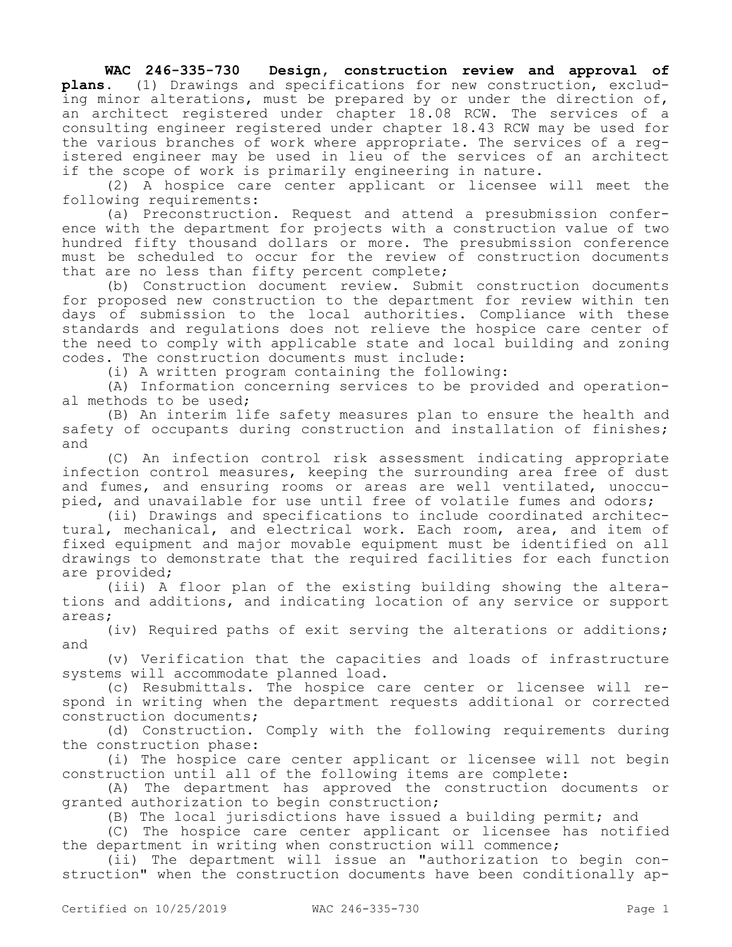**WAC 246-335-730 Design, construction review and approval of plans.** (1) Drawings and specifications for new construction, excluding minor alterations, must be prepared by or under the direction of, an architect registered under chapter 18.08 RCW. The services of a consulting engineer registered under chapter 18.43 RCW may be used for the various branches of work where appropriate. The services of a registered engineer may be used in lieu of the services of an architect if the scope of work is primarily engineering in nature.

(2) A hospice care center applicant or licensee will meet the following requirements:

(a) Preconstruction. Request and attend a presubmission conference with the department for projects with a construction value of two hundred fifty thousand dollars or more. The presubmission conference must be scheduled to occur for the review of construction documents that are no less than fifty percent complete;

(b) Construction document review. Submit construction documents for proposed new construction to the department for review within ten days of submission to the local authorities. Compliance with these standards and regulations does not relieve the hospice care center of the need to comply with applicable state and local building and zoning codes. The construction documents must include:

(i) A written program containing the following:

(A) Information concerning services to be provided and operational methods to be used;

(B) An interim life safety measures plan to ensure the health and safety of occupants during construction and installation of finishes; and

(C) An infection control risk assessment indicating appropriate infection control measures, keeping the surrounding area free of dust and fumes, and ensuring rooms or areas are well ventilated, unoccupied, and unavailable for use until free of volatile fumes and odors;

(ii) Drawings and specifications to include coordinated architectural, mechanical, and electrical work. Each room, area, and item of fixed equipment and major movable equipment must be identified on all drawings to demonstrate that the required facilities for each function are provided;

(iii) A floor plan of the existing building showing the alterations and additions, and indicating location of any service or support areas;

(iv) Required paths of exit serving the alterations or additions; and

(v) Verification that the capacities and loads of infrastructure systems will accommodate planned load.

(c) Resubmittals. The hospice care center or licensee will respond in writing when the department requests additional or corrected construction documents;

(d) Construction. Comply with the following requirements during the construction phase:

(i) The hospice care center applicant or licensee will not begin construction until all of the following items are complete:

(A) The department has approved the construction documents or granted authorization to begin construction;

(B) The local jurisdictions have issued a building permit; and

(C) The hospice care center applicant or licensee has notified the department in writing when construction will commence;

(ii) The department will issue an "authorization to begin construction" when the construction documents have been conditionally ap